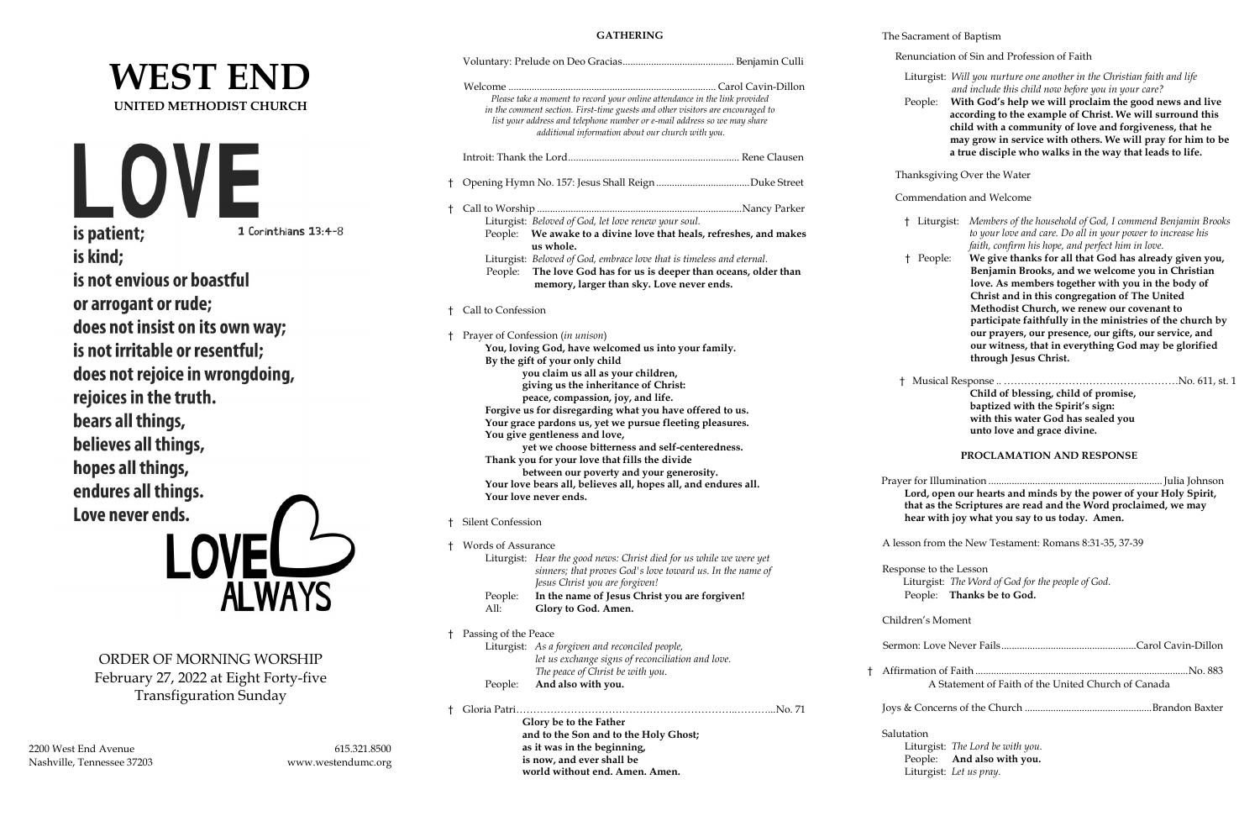# **WEST END UNITED METHODIST CHURCH**



is not envious or boastful or arrogant or rude; does not insist on its own way; is not irritable or resentful; does not rejoice in wrongdoing, rejoices in the truth. bears all things, believes all things, hopes all things, endures all things. Love never ends.



ORDER OF MORNING WORSHIP February 27, 2022 at Eight Forty-five Transfiguration Sunday

2200 West End Avenue 615.321.8500 Nashville, Tennessee 37203 www.westendumc.org

|              | <b>GATHERING</b>                                                                                                                                                                                                                                                                                                                                                                                                                                                                                                                                                                                                                                 |  | The Sacr |                                              |
|--------------|--------------------------------------------------------------------------------------------------------------------------------------------------------------------------------------------------------------------------------------------------------------------------------------------------------------------------------------------------------------------------------------------------------------------------------------------------------------------------------------------------------------------------------------------------------------------------------------------------------------------------------------------------|--|----------|----------------------------------------------|
|              |                                                                                                                                                                                                                                                                                                                                                                                                                                                                                                                                                                                                                                                  |  |          | Renui                                        |
|              | Please take a moment to record your online attendance in the link provided<br>in the comment section. First-time guests and other visitors are encouraged to<br>list your address and telephone number or e-mail address so we may share<br>additional information about our church with you.                                                                                                                                                                                                                                                                                                                                                    |  |          | Litu<br>Peo                                  |
|              |                                                                                                                                                                                                                                                                                                                                                                                                                                                                                                                                                                                                                                                  |  |          |                                              |
| $\mathsf{t}$ |                                                                                                                                                                                                                                                                                                                                                                                                                                                                                                                                                                                                                                                  |  |          | Thanl                                        |
| Ť.           | Liturgist: Beloved of God, let love renew your soul.                                                                                                                                                                                                                                                                                                                                                                                                                                                                                                                                                                                             |  |          | Comr<br>† I                                  |
|              | People: We awake to a divine love that heals, refreshes, and makes<br>us whole.<br>Liturgist: Beloved of God, embrace love that is timeless and eternal.<br>The love God has for us is deeper than oceans, older than<br>People:<br>memory, larger than sky. Love never ends.                                                                                                                                                                                                                                                                                                                                                                    |  |          | $\dagger$ I                                  |
| Ť.           | Call to Confession                                                                                                                                                                                                                                                                                                                                                                                                                                                                                                                                                                                                                               |  |          |                                              |
| Ť            | Prayer of Confession (in unison)<br>You, loving God, have welcomed us into your family.<br>By the gift of your only child<br>you claim us all as your children,<br>giving us the inheritance of Christ:<br>peace, compassion, joy, and life.<br>Forgive us for disregarding what you have offered to us.<br>Your grace pardons us, yet we pursue fleeting pleasures.<br>You give gentleness and love,<br>yet we choose bitterness and self-centeredness.<br>Thank you for your love that fills the divide<br>between our poverty and your generosity.<br>Your love bears all, believes all, hopes all, and endures all.<br>Your love never ends. |  |          | $\dagger$ M<br>Prayer fo<br>Lore<br>that     |
| Ť.           | Silent Confession                                                                                                                                                                                                                                                                                                                                                                                                                                                                                                                                                                                                                                |  |          | hea                                          |
| t            | Words of Assurance<br>Liturgist: Hear the good news: Christ died for us while we were yet<br>sinners; that proves God's love toward us. In the name of<br>Jesus Christ you are forgiven!<br>In the name of Jesus Christ you are forgiven!<br>People:<br>All:<br>Glory to God. Amen.                                                                                                                                                                                                                                                                                                                                                              |  |          | A lesson<br>Respons<br>Litu<br>Peo           |
| Ť            | Passing of the Peace                                                                                                                                                                                                                                                                                                                                                                                                                                                                                                                                                                                                                             |  |          | Children                                     |
|              | Liturgist: As a forgiven and reconciled people,<br>let us exchange signs of reconciliation and love.<br>The peace of Christ be with you.                                                                                                                                                                                                                                                                                                                                                                                                                                                                                                         |  | t        | Sermon:<br>Affirmat                          |
|              | And also with you.<br>People:                                                                                                                                                                                                                                                                                                                                                                                                                                                                                                                                                                                                                    |  |          |                                              |
| Ť            | Glory be to the Father<br>and to the Son and to the Holy Ghost;<br>as it was in the beginning,<br>is now, and ever shall be<br>world without end. Amen. Amen.                                                                                                                                                                                                                                                                                                                                                                                                                                                                                    |  |          | Joys & C<br>Salutatio<br>Litu<br>Peo<br>Litu |

#### The Sacrament of Baptism

nciation of Sin and Profession of Faith

- Liturgist: *Will you nurture one another in the Christian faith and life and include this child now before you in your care?*
- pple: With God's help we will proclaim the good news and live  **according to the example of Christ. We will surround this child with a community of love and forgiveness, that he may grow in service with others. We will pray for him to be a true disciple who walks in the way that leads to life.**

ksgiving Over the Water

#### nendation and Welcome

- † Liturgist: *Members of the household of God, I commend Benjamin Brooks to your love and care. Do all in your power to increase his faith, confirm his hope, and perfect him in love.*
- † People: **We give thanks for all that God has already given you, Benjamin Brooks, and we welcome you in Christian love. As members together with you in the body of Christ and in this congregation of The United Methodist Church, we renew our covenant to participate faithfully in the ministries of the church by our prayers, our presence, our gifts, our service, and our witness, that in everything God may be glorified through Jesus Christ.**
- † Musical Response .. ……………………………………………No. 611, st. 1  **Child of blessing, child of promise, baptized with the Spirit's sign: with this water God has sealed you unto love and grace divine.**

#### **PROCLAMATION AND RESPONSE**

 Prayer for Illumination ...................................................................Julia Johnson **Lord, open our hearts and minds by the power of your Holy Spirit, that as the Scriptures are read and the Word proclaimed, we may hear with joy what you say to us today. Amen.**

from the New Testament: Romans 8:31-35, 37-39

se to the Lesson  $argist:$  *The Word of God for the people of God.* pple: **Thanks be to God.** 

#### 's Moment

| A Statement of Faith of the United Church of Canada |  |
|-----------------------------------------------------|--|
|                                                     |  |

Joys & Concerns of the Church .................................................Brandon Baxter

#### on.

Liturgist: *The Lord be with you.* pple: **And also with you.** Liturgist: *Let us pray.*